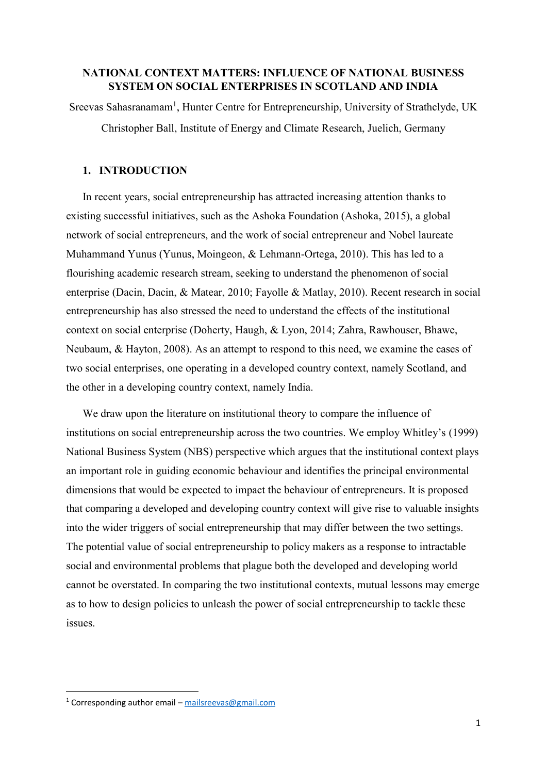# **NATIONAL CONTEXT MATTERS: INFLUENCE OF NATIONAL BUSINESS SYSTEM ON SOCIAL ENTERPRISES IN SCOTLAND AND INDIA**

Sreevas Sahasranamam<sup>1</sup>, Hunter Centre for Entrepreneurship, University of Strathclyde, UK Christopher Ball, Institute of Energy and Climate Research, Juelich, Germany

# **1. INTRODUCTION**

In recent years, social entrepreneurship has attracted increasing attention thanks to existing successful initiatives, such as the Ashoka Foundation (Ashoka, 2015), a global network of social entrepreneurs, and the work of social entrepreneur and Nobel laureate Muhammand Yunus (Yunus, Moingeon, & Lehmann-Ortega, 2010). This has led to a flourishing academic research stream, seeking to understand the phenomenon of social enterprise (Dacin, Dacin, & Matear, 2010; Fayolle & Matlay, 2010). Recent research in social entrepreneurship has also stressed the need to understand the effects of the institutional context on social enterprise (Doherty, Haugh, & Lyon, 2014; Zahra, Rawhouser, Bhawe, Neubaum, & Hayton, 2008). As an attempt to respond to this need, we examine the cases of two social enterprises, one operating in a developed country context, namely Scotland, and the other in a developing country context, namely India.

We draw upon the literature on institutional theory to compare the influence of institutions on social entrepreneurship across the two countries. We employ Whitley's (1999) National Business System (NBS) perspective which argues that the institutional context plays an important role in guiding economic behaviour and identifies the principal environmental dimensions that would be expected to impact the behaviour of entrepreneurs. It is proposed that comparing a developed and developing country context will give rise to valuable insights into the wider triggers of social entrepreneurship that may differ between the two settings. The potential value of social entrepreneurship to policy makers as a response to intractable social and environmental problems that plague both the developed and developing world cannot be overstated. In comparing the two institutional contexts, mutual lessons may emerge as to how to design policies to unleash the power of social entrepreneurship to tackle these issues.

**.** 

<sup>&</sup>lt;sup>1</sup> Corresponding author email – [mailsreevas@gmail.com](mailto:mailsreevas@gmail.com)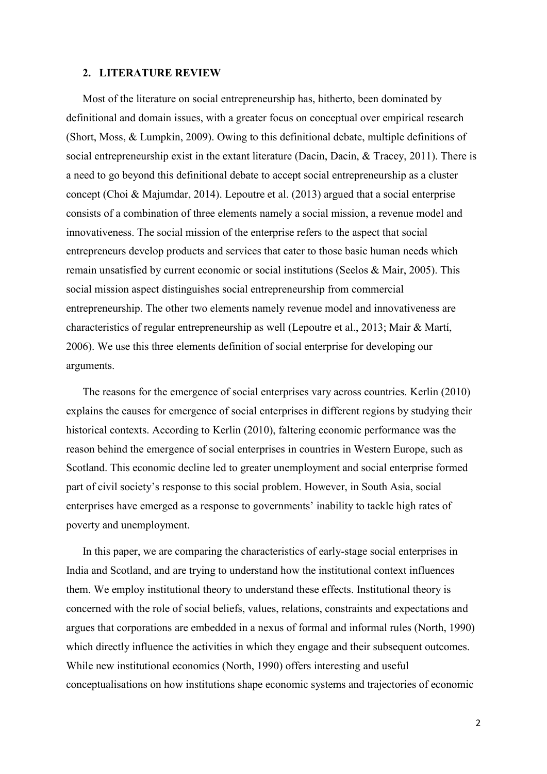#### **2. LITERATURE REVIEW**

Most of the literature on social entrepreneurship has, hitherto, been dominated by definitional and domain issues, with a greater focus on conceptual over empirical research (Short, Moss, & Lumpkin, 2009). Owing to this definitional debate, multiple definitions of social entrepreneurship exist in the extant literature (Dacin, Dacin, & Tracey, 2011). There is a need to go beyond this definitional debate to accept social entrepreneurship as a cluster concept (Choi & Majumdar, 2014). Lepoutre et al. (2013) argued that a social enterprise consists of a combination of three elements namely a social mission, a revenue model and innovativeness. The social mission of the enterprise refers to the aspect that social entrepreneurs develop products and services that cater to those basic human needs which remain unsatisfied by current economic or social institutions (Seelos & Mair, 2005). This social mission aspect distinguishes social entrepreneurship from commercial entrepreneurship. The other two elements namely revenue model and innovativeness are characteristics of regular entrepreneurship as well (Lepoutre et al., 2013; Mair & Martí, 2006). We use this three elements definition of social enterprise for developing our arguments.

The reasons for the emergence of social enterprises vary across countries. Kerlin (2010) explains the causes for emergence of social enterprises in different regions by studying their historical contexts. According to Kerlin (2010), faltering economic performance was the reason behind the emergence of social enterprises in countries in Western Europe, such as Scotland. This economic decline led to greater unemployment and social enterprise formed part of civil society's response to this social problem. However, in South Asia, social enterprises have emerged as a response to governments' inability to tackle high rates of poverty and unemployment.

In this paper, we are comparing the characteristics of early-stage social enterprises in India and Scotland, and are trying to understand how the institutional context influences them. We employ institutional theory to understand these effects. Institutional theory is concerned with the role of social beliefs, values, relations, constraints and expectations and argues that corporations are embedded in a nexus of formal and informal rules (North, 1990) which directly influence the activities in which they engage and their subsequent outcomes. While new institutional economics (North, 1990) offers interesting and useful conceptualisations on how institutions shape economic systems and trajectories of economic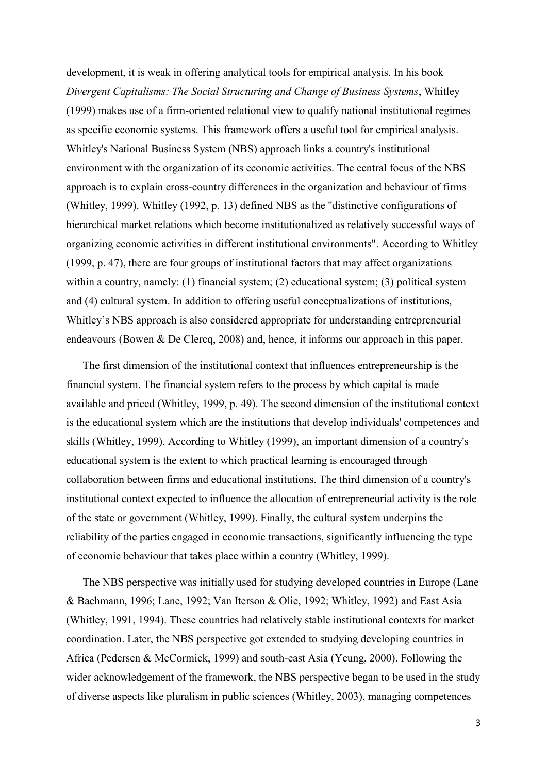development, it is weak in offering analytical tools for empirical analysis. In his book *Divergent Capitalisms: The Social Structuring and Change of Business Systems*, Whitley (1999) makes use of a firm-oriented relational view to qualify national institutional regimes as specific economic systems. This framework offers a useful tool for empirical analysis. Whitley's National Business System (NBS) approach links a country's institutional environment with the organization of its economic activities. The central focus of the NBS approach is to explain cross-country differences in the organization and behaviour of firms (Whitley, 1999). Whitley (1992, p. 13) defined NBS as the ''distinctive configurations of hierarchical market relations which become institutionalized as relatively successful ways of organizing economic activities in different institutional environments". According to Whitley (1999, p. 47), there are four groups of institutional factors that may affect organizations within a country, namely: (1) financial system; (2) educational system; (3) political system and (4) cultural system. In addition to offering useful conceptualizations of institutions, Whitley's NBS approach is also considered appropriate for understanding entrepreneurial endeavours (Bowen & De Clercq, 2008) and, hence, it informs our approach in this paper.

The first dimension of the institutional context that influences entrepreneurship is the financial system. The financial system refers to the process by which capital is made available and priced (Whitley, 1999, p. 49). The second dimension of the institutional context is the educational system which are the institutions that develop individuals' competences and skills (Whitley, 1999). According to Whitley (1999), an important dimension of a country's educational system is the extent to which practical learning is encouraged through collaboration between firms and educational institutions. The third dimension of a country's institutional context expected to influence the allocation of entrepreneurial activity is the role of the state or government (Whitley, 1999). Finally, the cultural system underpins the reliability of the parties engaged in economic transactions, significantly influencing the type of economic behaviour that takes place within a country (Whitley, 1999).

The NBS perspective was initially used for studying developed countries in Europe (Lane & Bachmann, 1996; Lane, 1992; Van Iterson & Olie, 1992; Whitley, 1992) and East Asia (Whitley, 1991, 1994). These countries had relatively stable institutional contexts for market coordination. Later, the NBS perspective got extended to studying developing countries in Africa (Pedersen & McCormick, 1999) and south-east Asia (Yeung, 2000). Following the wider acknowledgement of the framework, the NBS perspective began to be used in the study of diverse aspects like pluralism in public sciences (Whitley, 2003), managing competences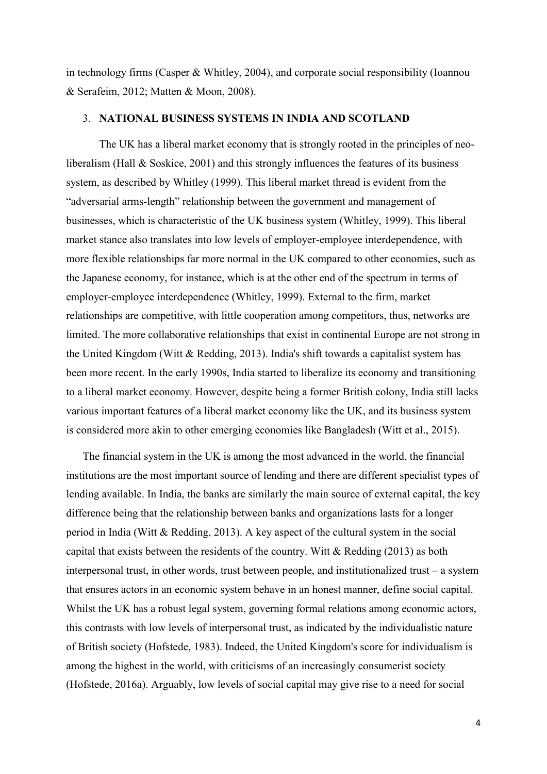in technology firms (Casper & Whitley, 2004), and corporate social responsibility (Ioannou & Serafeim, 2012; Matten & Moon, 2008).

## 3. **NATIONAL BUSINESS SYSTEMS IN INDIA AND SCOTLAND**

The UK has a liberal market economy that is strongly rooted in the principles of neoliberalism (Hall & Soskice, 2001) and this strongly influences the features of its business system, as described by Whitley (1999). This liberal market thread is evident from the "adversarial arms-length" relationship between the government and management of businesses, which is characteristic of the UK business system (Whitley, 1999). This liberal market stance also translates into low levels of employer-employee interdependence, with more flexible relationships far more normal in the UK compared to other economies, such as the Japanese economy, for instance, which is at the other end of the spectrum in terms of employer-employee interdependence (Whitley, 1999). External to the firm, market relationships are competitive, with little cooperation among competitors, thus, networks are limited. The more collaborative relationships that exist in continental Europe are not strong in the United Kingdom (Witt & Redding, 2013). India's shift towards a capitalist system has been more recent. In the early 1990s, India started to liberalize its economy and transitioning to a liberal market economy. However, despite being a former British colony, India still lacks various important features of a liberal market economy like the UK, and its business system is considered more akin to other emerging economies like Bangladesh (Witt et al., 2015).

The financial system in the UK is among the most advanced in the world, the financial institutions are the most important source of lending and there are different specialist types of lending available. In India, the banks are similarly the main source of external capital, the key difference being that the relationship between banks and organizations lasts for a longer period in India (Witt & Redding, 2013). A key aspect of the cultural system in the social capital that exists between the residents of the country. Witt & Redding (2013) as both interpersonal trust, in other words, trust between people, and institutionalized trust – a system that ensures actors in an economic system behave in an honest manner, define social capital. Whilst the UK has a robust legal system, governing formal relations among economic actors, this contrasts with low levels of interpersonal trust, as indicated by the individualistic nature of British society (Hofstede, 1983). Indeed, the United Kingdom's score for individualism is among the highest in the world, with criticisms of an increasingly consumerist society (Hofstede, 2016a). Arguably, low levels of social capital may give rise to a need for social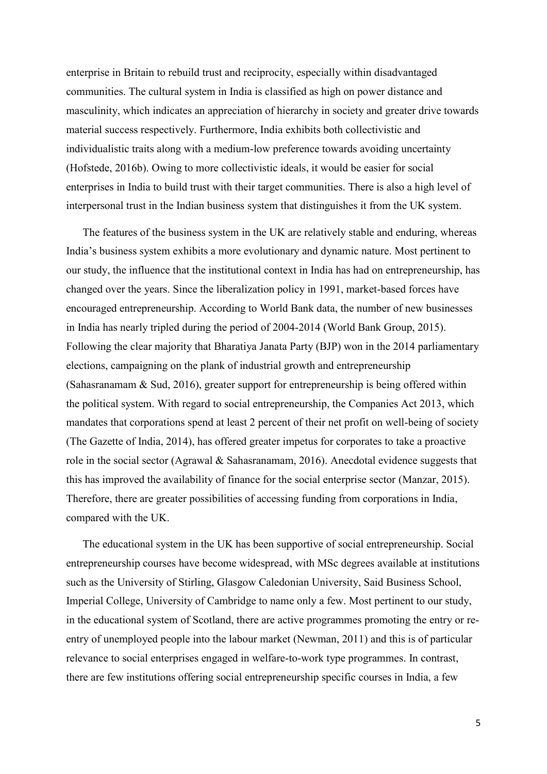enterprise in Britain to rebuild trust and reciprocity, especially within disadvantaged communities. The cultural system in India is classified as high on power distance and masculinity, which indicates an appreciation of hierarchy in society and greater drive towards material success respectively. Furthermore, India exhibits both collectivistic and individualistic traits along with a medium-low preference towards avoiding uncertainty (Hofstede, 2016b). Owing to more collectivistic ideals, it would be easier for social enterprises in India to build trust with their target communities. There is also a high level of interpersonal trust in the Indian business system that distinguishes it from the UK system.

The features of the business system in the UK are relatively stable and enduring, whereas India's business system exhibits a more evolutionary and dynamic nature. Most pertinent to our study, the influence that the institutional context in India has had on entrepreneurship, has changed over the years. Since the liberalization policy in 1991, market-based forces have encouraged entrepreneurship. According to World Bank data, the number of new businesses in India has nearly tripled during the period of 2004-2014 (World Bank Group, 2015). Following the clear majority that Bharatiya Janata Party (BJP) won in the 2014 parliamentary elections, campaigning on the plank of industrial growth and entrepreneurship (Sahasranamam  $\&$  Sud, 2016), greater support for entrepreneurship is being offered within the political system. With regard to social entrepreneurship, the Companies Act 2013, which mandates that corporations spend at least 2 percent of their net profit on well-being of society (The Gazette of India, 2014), has offered greater impetus for corporates to take a proactive role in the social sector (Agrawal & Sahasranamam, 2016). Anecdotal evidence suggests that this has improved the availability of finance for the social enterprise sector (Manzar, 2015). Therefore, there are greater possibilities of accessing funding from corporations in India, compared with the UK.

The educational system in the UK has been supportive of social entrepreneurship. Social entrepreneurship courses have become widespread, with MSc degrees available at institutions such as the University of Stirling, Glasgow Caledonian University, Said Business School, Imperial College, University of Cambridge to name only a few. Most pertinent to our study, in the educational system of Scotland, there are active programmes promoting the entry or reentry of unemployed people into the labour market (Newman, 2011) and this is of particular relevance to social enterprises engaged in welfare-to-work type programmes. In contrast, there are few institutions offering social entrepreneurship specific courses in India, a few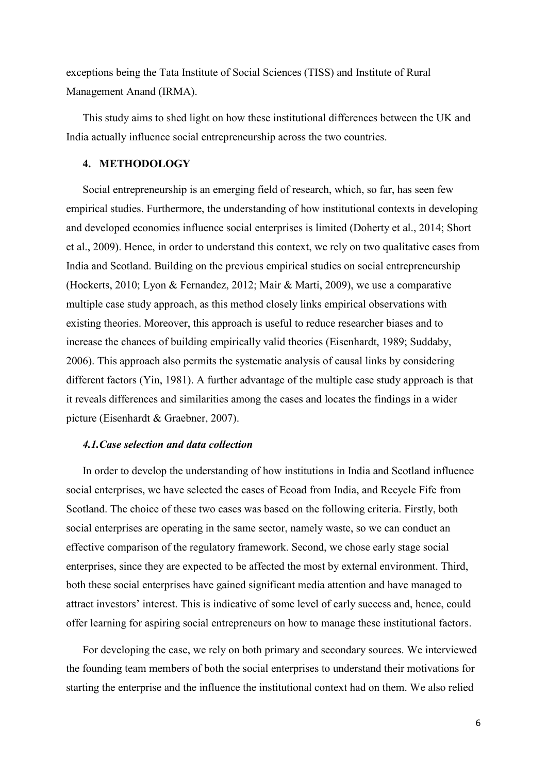exceptions being the Tata Institute of Social Sciences (TISS) and Institute of Rural Management Anand (IRMA).

This study aims to shed light on how these institutional differences between the UK and India actually influence social entrepreneurship across the two countries.

## **4. METHODOLOGY**

Social entrepreneurship is an emerging field of research, which, so far, has seen few empirical studies. Furthermore, the understanding of how institutional contexts in developing and developed economies influence social enterprises is limited (Doherty et al., 2014; Short et al., 2009). Hence, in order to understand this context, we rely on two qualitative cases from India and Scotland. Building on the previous empirical studies on social entrepreneurship (Hockerts, 2010; Lyon & Fernandez, 2012; Mair & Marti, 2009), we use a comparative multiple case study approach, as this method closely links empirical observations with existing theories. Moreover, this approach is useful to reduce researcher biases and to increase the chances of building empirically valid theories (Eisenhardt, 1989; Suddaby, 2006). This approach also permits the systematic analysis of causal links by considering different factors (Yin, 1981). A further advantage of the multiple case study approach is that it reveals differences and similarities among the cases and locates the findings in a wider picture (Eisenhardt & Graebner, 2007).

# *4.1.Case selection and data collection*

In order to develop the understanding of how institutions in India and Scotland influence social enterprises, we have selected the cases of Ecoad from India, and Recycle Fife from Scotland. The choice of these two cases was based on the following criteria. Firstly, both social enterprises are operating in the same sector, namely waste, so we can conduct an effective comparison of the regulatory framework. Second, we chose early stage social enterprises, since they are expected to be affected the most by external environment. Third, both these social enterprises have gained significant media attention and have managed to attract investors' interest. This is indicative of some level of early success and, hence, could offer learning for aspiring social entrepreneurs on how to manage these institutional factors.

For developing the case, we rely on both primary and secondary sources. We interviewed the founding team members of both the social enterprises to understand their motivations for starting the enterprise and the influence the institutional context had on them. We also relied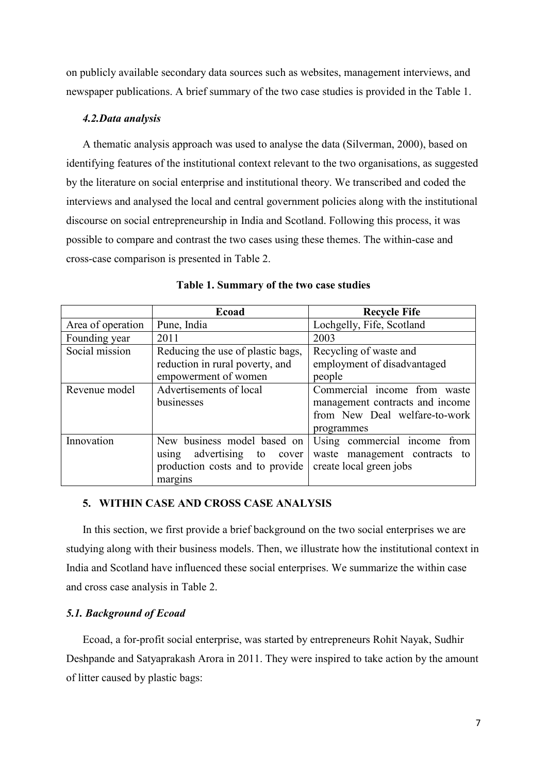on publicly available secondary data sources such as websites, management interviews, and newspaper publications. A brief summary of the two case studies is provided in the Table 1.

#### *4.2.Data analysis*

A thematic analysis approach was used to analyse the data (Silverman, 2000), based on identifying features of the institutional context relevant to the two organisations, as suggested by the literature on social enterprise and institutional theory. We transcribed and coded the interviews and analysed the local and central government policies along with the institutional discourse on social entrepreneurship in India and Scotland. Following this process, it was possible to compare and contrast the two cases using these themes. The within-case and cross-case comparison is presented in Table 2.

|                   | Ecoad                             | <b>Recycle Fife</b>              |  |  |
|-------------------|-----------------------------------|----------------------------------|--|--|
| Area of operation | Pune, India                       | Lochgelly, Fife, Scotland        |  |  |
| Founding year     | 2011                              | 2003                             |  |  |
| Social mission    | Reducing the use of plastic bags, | Recycling of waste and           |  |  |
|                   | reduction in rural poverty, and   | employment of disadvantaged      |  |  |
|                   | empowerment of women              | people                           |  |  |
| Revenue model     | Advertisements of local           | Commercial income from waste     |  |  |
|                   | businesses                        | management contracts and income  |  |  |
|                   |                                   | from New Deal welfare-to-work    |  |  |
|                   |                                   | programmes                       |  |  |
| Innovation        | New business model based on       | Using commercial income<br>from  |  |  |
|                   | advertising to<br>using<br>cover  | waste management contracts<br>to |  |  |
|                   | production costs and to provide   | create local green jobs          |  |  |
|                   | margins                           |                                  |  |  |

## **5. WITHIN CASE AND CROSS CASE ANALYSIS**

In this section, we first provide a brief background on the two social enterprises we are studying along with their business models. Then, we illustrate how the institutional context in India and Scotland have influenced these social enterprises. We summarize the within case and cross case analysis in Table 2.

## *5.1. Background of Ecoad*

Ecoad, a for-profit social enterprise, was started by entrepreneurs Rohit Nayak, Sudhir Deshpande and Satyaprakash Arora in 2011. They were inspired to take action by the amount of litter caused by plastic bags: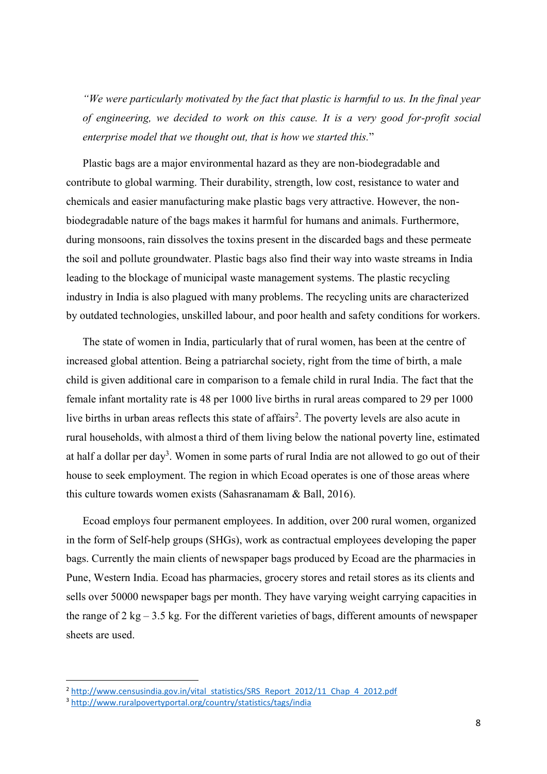*"We were particularly motivated by the fact that plastic is harmful to us. In the final year of engineering, we decided to work on this cause. It is a very good for-profit social enterprise model that we thought out, that is how we started this.*"

Plastic bags are a major environmental hazard as they are non-biodegradable and contribute to global warming. Their durability, strength, low cost, resistance to water and chemicals and easier manufacturing make plastic bags very attractive. However, the nonbiodegradable nature of the bags makes it harmful for humans and animals. Furthermore, during monsoons, rain dissolves the toxins present in the discarded bags and these permeate the soil and pollute groundwater. Plastic bags also find their way into waste streams in India leading to the blockage of municipal waste management systems. The plastic recycling industry in India is also plagued with many problems. The recycling units are characterized by outdated technologies, unskilled labour, and poor health and safety conditions for workers.

The state of women in India, particularly that of rural women, has been at the centre of increased global attention. Being a patriarchal society, right from the time of birth, a male child is given additional care in comparison to a female child in rural India. The fact that the female infant mortality rate is 48 per 1000 live births in rural areas compared to 29 per 1000 live births in urban areas reflects this state of affairs<sup>2</sup>. The poverty levels are also acute in rural households, with almost a third of them living below the national poverty line, estimated at half a dollar per day<sup>3</sup>. Women in some parts of rural India are not allowed to go out of their house to seek employment. The region in which Ecoad operates is one of those areas where this culture towards women exists (Sahasranamam & Ball, 2016).

Ecoad employs four permanent employees. In addition, over 200 rural women, organized in the form of Self-help groups (SHGs), work as contractual employees developing the paper bags. Currently the main clients of newspaper bags produced by Ecoad are the pharmacies in Pune, Western India. Ecoad has pharmacies, grocery stores and retail stores as its clients and sells over 50000 newspaper bags per month. They have varying weight carrying capacities in the range of  $2 \text{ kg} - 3.5 \text{ kg}$ . For the different varieties of bags, different amounts of newspaper sheets are used.

1

<sup>&</sup>lt;sup>2</sup> [http://www.censusindia.gov.in/vital\\_statistics/SRS\\_Report\\_2012/11\\_Chap\\_4\\_2012.pdf](http://www.censusindia.gov.in/vital_statistics/SRS_Report_2012/11_Chap_4_2012.pdf)

<sup>3</sup> <http://www.ruralpovertyportal.org/country/statistics/tags/india>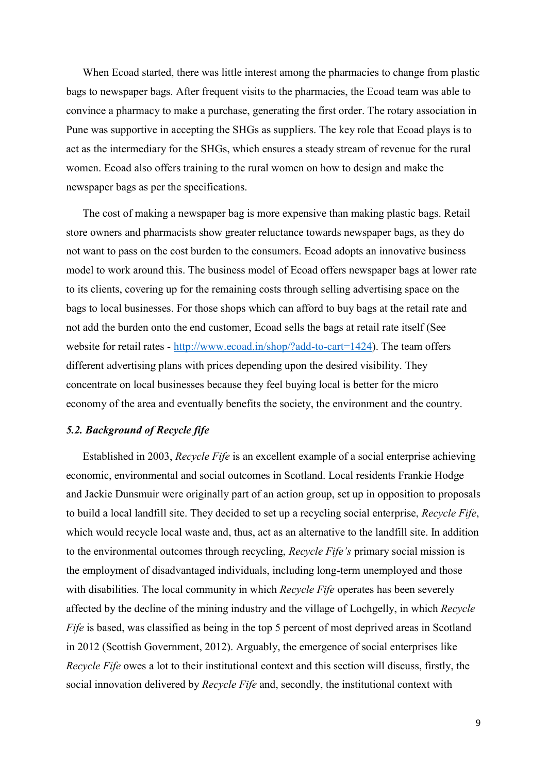When Ecoad started, there was little interest among the pharmacies to change from plastic bags to newspaper bags. After frequent visits to the pharmacies, the Ecoad team was able to convince a pharmacy to make a purchase, generating the first order. The rotary association in Pune was supportive in accepting the SHGs as suppliers. The key role that Ecoad plays is to act as the intermediary for the SHGs, which ensures a steady stream of revenue for the rural women. Ecoad also offers training to the rural women on how to design and make the newspaper bags as per the specifications.

The cost of making a newspaper bag is more expensive than making plastic bags. Retail store owners and pharmacists show greater reluctance towards newspaper bags, as they do not want to pass on the cost burden to the consumers. Ecoad adopts an innovative business model to work around this. The business model of Ecoad offers newspaper bags at lower rate to its clients, covering up for the remaining costs through selling advertising space on the bags to local businesses. For those shops which can afford to buy bags at the retail rate and not add the burden onto the end customer, Ecoad sells the bags at retail rate itself (See website for retail rates - [http://www.ecoad.in/shop/?add-to-cart=1424\)](http://www.ecoad.in/shop/?add-to-cart=1424). The team offers different advertising plans with prices depending upon the desired visibility. They concentrate on local businesses because they feel buying local is better for the micro economy of the area and eventually benefits the society, the environment and the country.

# *5.2. Background of Recycle fife*

Established in 2003, *Recycle Fife* is an excellent example of a social enterprise achieving economic, environmental and social outcomes in Scotland. Local residents Frankie Hodge and Jackie Dunsmuir were originally part of an action group, set up in opposition to proposals to build a local landfill site. They decided to set up a recycling social enterprise, *Recycle Fife*, which would recycle local waste and, thus, act as an alternative to the landfill site. In addition to the environmental outcomes through recycling, *Recycle Fife's* primary social mission is the employment of disadvantaged individuals, including long-term unemployed and those with disabilities. The local community in which *Recycle Fife* operates has been severely affected by the decline of the mining industry and the village of Lochgelly, in which *Recycle Fife* is based, was classified as being in the top 5 percent of most deprived areas in Scotland in 2012 (Scottish Government, 2012). Arguably, the emergence of social enterprises like *Recycle Fife* owes a lot to their institutional context and this section will discuss, firstly, the social innovation delivered by *Recycle Fife* and, secondly, the institutional context with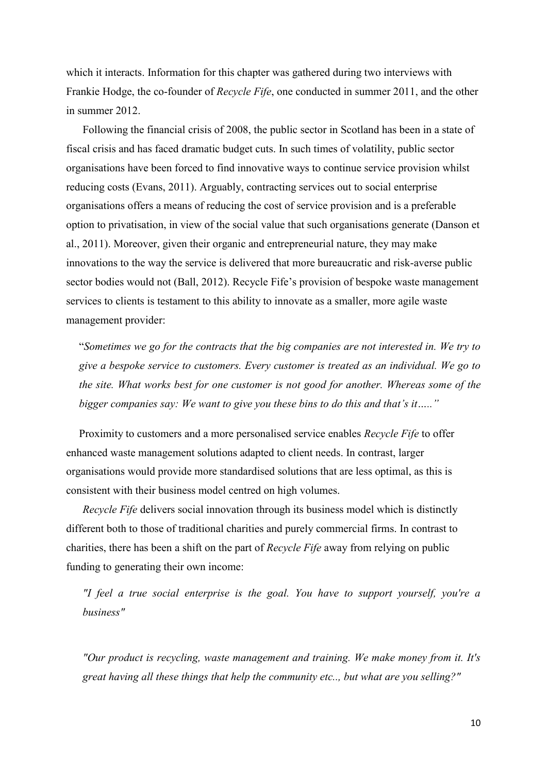which it interacts. Information for this chapter was gathered during two interviews with Frankie Hodge, the co-founder of *Recycle Fife*, one conducted in summer 2011, and the other in summer 2012.

Following the financial crisis of 2008, the public sector in Scotland has been in a state of fiscal crisis and has faced dramatic budget cuts. In such times of volatility, public sector organisations have been forced to find innovative ways to continue service provision whilst reducing costs (Evans, 2011). Arguably, contracting services out to social enterprise organisations offers a means of reducing the cost of service provision and is a preferable option to privatisation, in view of the social value that such organisations generate (Danson et al., 2011). Moreover, given their organic and entrepreneurial nature, they may make innovations to the way the service is delivered that more bureaucratic and risk-averse public sector bodies would not (Ball, 2012). Recycle Fife's provision of bespoke waste management services to clients is testament to this ability to innovate as a smaller, more agile waste management provider:

"*Sometimes we go for the contracts that the big companies are not interested in. We try to give a bespoke service to customers. Every customer is treated as an individual. We go to the site. What works best for one customer is not good for another. Whereas some of the bigger companies say: We want to give you these bins to do this and that's it….."*

Proximity to customers and a more personalised service enables *Recycle Fife* to offer enhanced waste management solutions adapted to client needs. In contrast, larger organisations would provide more standardised solutions that are less optimal, as this is consistent with their business model centred on high volumes.

*Recycle Fife* delivers social innovation through its business model which is distinctly different both to those of traditional charities and purely commercial firms. In contrast to charities, there has been a shift on the part of *Recycle Fife* away from relying on public funding to generating their own income:

*"I feel a true social enterprise is the goal. You have to support yourself, you're a business"* 

*"Our product is recycling, waste management and training. We make money from it. It's great having all these things that help the community etc.., but what are you selling?"*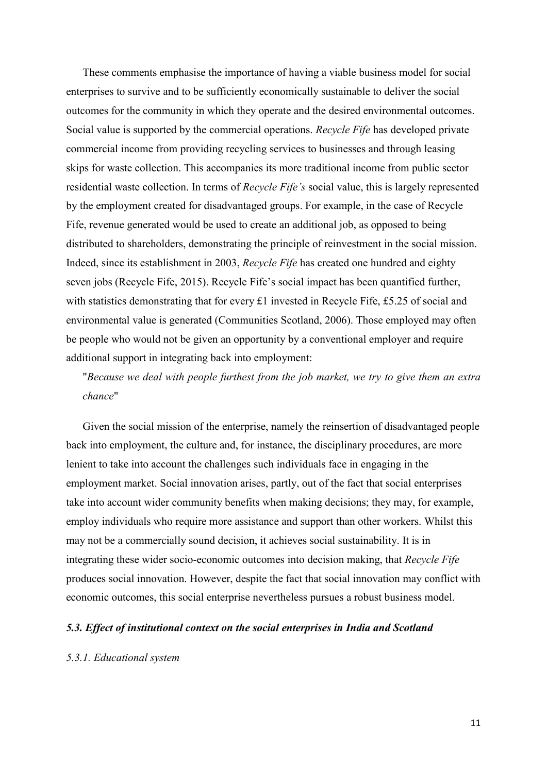These comments emphasise the importance of having a viable business model for social enterprises to survive and to be sufficiently economically sustainable to deliver the social outcomes for the community in which they operate and the desired environmental outcomes. Social value is supported by the commercial operations. *Recycle Fife* has developed private commercial income from providing recycling services to businesses and through leasing skips for waste collection. This accompanies its more traditional income from public sector residential waste collection. In terms of *Recycle Fife's* social value, this is largely represented by the employment created for disadvantaged groups. For example, in the case of Recycle Fife, revenue generated would be used to create an additional job, as opposed to being distributed to shareholders, demonstrating the principle of reinvestment in the social mission. Indeed, since its establishment in 2003, *Recycle Fife* has created one hundred and eighty seven jobs (Recycle Fife, 2015). Recycle Fife's social impact has been quantified further, with statistics demonstrating that for every £1 invested in Recycle Fife, £5.25 of social and environmental value is generated (Communities Scotland, 2006). Those employed may often be people who would not be given an opportunity by a conventional employer and require additional support in integrating back into employment:

"*Because we deal with people furthest from the job market, we try to give them an extra chance*"

Given the social mission of the enterprise, namely the reinsertion of disadvantaged people back into employment, the culture and, for instance, the disciplinary procedures, are more lenient to take into account the challenges such individuals face in engaging in the employment market. Social innovation arises, partly, out of the fact that social enterprises take into account wider community benefits when making decisions; they may, for example, employ individuals who require more assistance and support than other workers. Whilst this may not be a commercially sound decision, it achieves social sustainability. It is in integrating these wider socio-economic outcomes into decision making, that *Recycle Fife*  produces social innovation. However, despite the fact that social innovation may conflict with economic outcomes, this social enterprise nevertheless pursues a robust business model.

## *5.3. Effect of institutional context on the social enterprises in India and Scotland*

#### *5.3.1. Educational system*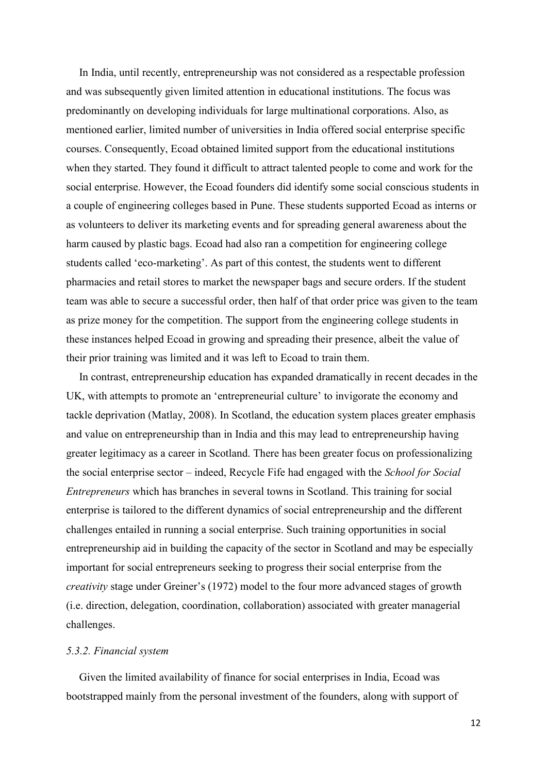In India, until recently, entrepreneurship was not considered as a respectable profession and was subsequently given limited attention in educational institutions. The focus was predominantly on developing individuals for large multinational corporations. Also, as mentioned earlier, limited number of universities in India offered social enterprise specific courses. Consequently, Ecoad obtained limited support from the educational institutions when they started. They found it difficult to attract talented people to come and work for the social enterprise. However, the Ecoad founders did identify some social conscious students in a couple of engineering colleges based in Pune. These students supported Ecoad as interns or as volunteers to deliver its marketing events and for spreading general awareness about the harm caused by plastic bags. Ecoad had also ran a competition for engineering college students called 'eco-marketing'. As part of this contest, the students went to different pharmacies and retail stores to market the newspaper bags and secure orders. If the student team was able to secure a successful order, then half of that order price was given to the team as prize money for the competition. The support from the engineering college students in these instances helped Ecoad in growing and spreading their presence, albeit the value of their prior training was limited and it was left to Ecoad to train them.

In contrast, entrepreneurship education has expanded dramatically in recent decades in the UK, with attempts to promote an 'entrepreneurial culture' to invigorate the economy and tackle deprivation (Matlay, 2008). In Scotland, the education system places greater emphasis and value on entrepreneurship than in India and this may lead to entrepreneurship having greater legitimacy as a career in Scotland. There has been greater focus on professionalizing the social enterprise sector – indeed, Recycle Fife had engaged with the *School for Social Entrepreneurs* which has branches in several towns in Scotland. This training for social enterprise is tailored to the different dynamics of social entrepreneurship and the different challenges entailed in running a social enterprise. Such training opportunities in social entrepreneurship aid in building the capacity of the sector in Scotland and may be especially important for social entrepreneurs seeking to progress their social enterprise from the *creativity* stage under Greiner's (1972) model to the four more advanced stages of growth (i.e. direction, delegation, coordination, collaboration) associated with greater managerial challenges.

## *5.3.2. Financial system*

Given the limited availability of finance for social enterprises in India, Ecoad was bootstrapped mainly from the personal investment of the founders, along with support of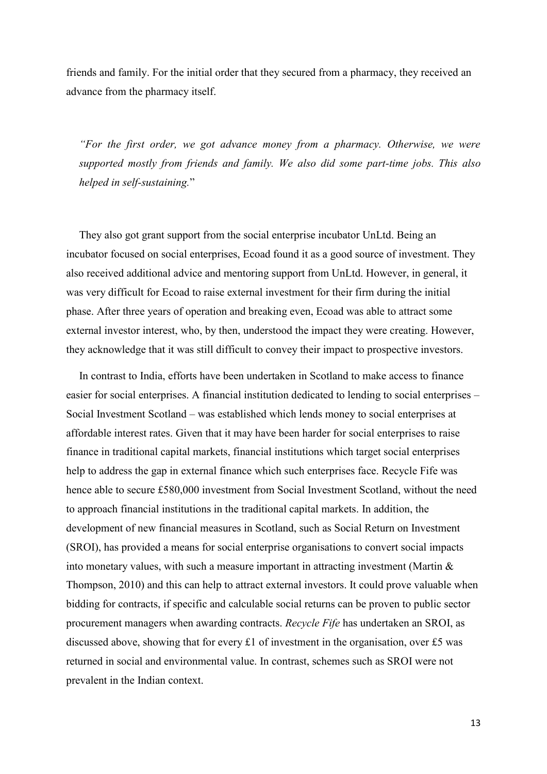friends and family. For the initial order that they secured from a pharmacy, they received an advance from the pharmacy itself.

*"For the first order, we got advance money from a pharmacy. Otherwise, we were supported mostly from friends and family. We also did some part-time jobs. This also helped in self-sustaining.*"

They also got grant support from the social enterprise incubator UnLtd. Being an incubator focused on social enterprises, Ecoad found it as a good source of investment. They also received additional advice and mentoring support from UnLtd. However, in general, it was very difficult for Ecoad to raise external investment for their firm during the initial phase. After three years of operation and breaking even, Ecoad was able to attract some external investor interest, who, by then, understood the impact they were creating. However, they acknowledge that it was still difficult to convey their impact to prospective investors.

In contrast to India, efforts have been undertaken in Scotland to make access to finance easier for social enterprises. A financial institution dedicated to lending to social enterprises – Social Investment Scotland – was established which lends money to social enterprises at affordable interest rates. Given that it may have been harder for social enterprises to raise finance in traditional capital markets, financial institutions which target social enterprises help to address the gap in external finance which such enterprises face. Recycle Fife was hence able to secure £580,000 investment from Social Investment Scotland, without the need to approach financial institutions in the traditional capital markets. In addition, the development of new financial measures in Scotland, such as Social Return on Investment (SROI), has provided a means for social enterprise organisations to convert social impacts into monetary values, with such a measure important in attracting investment (Martin & Thompson, 2010) and this can help to attract external investors. It could prove valuable when bidding for contracts, if specific and calculable social returns can be proven to public sector procurement managers when awarding contracts. *Recycle Fife* has undertaken an SROI, as discussed above, showing that for every £1 of investment in the organisation, over £5 was returned in social and environmental value. In contrast, schemes such as SROI were not prevalent in the Indian context.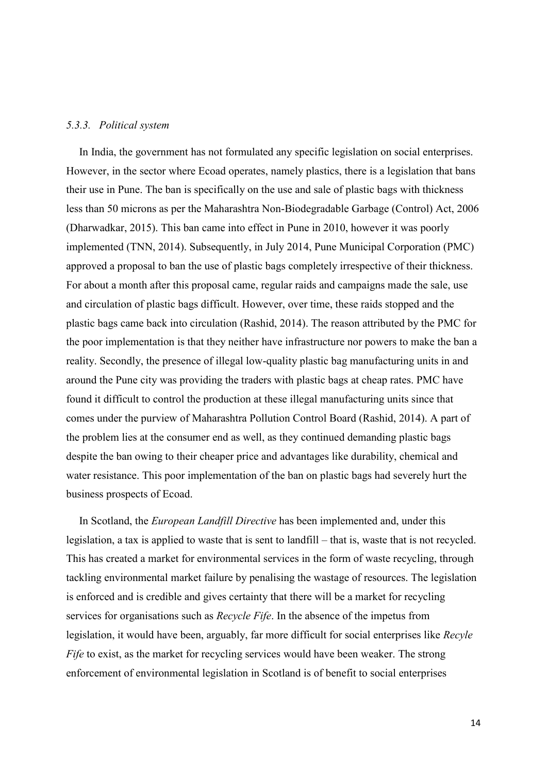#### *5.3.3. Political system*

In India, the government has not formulated any specific legislation on social enterprises. However, in the sector where Ecoad operates, namely plastics, there is a legislation that bans their use in Pune. The ban is specifically on the use and sale of plastic bags with thickness less than 50 microns as per the Maharashtra Non-Biodegradable Garbage (Control) Act, 2006 (Dharwadkar, 2015). This ban came into effect in Pune in 2010, however it was poorly implemented (TNN, 2014). Subsequently, in July 2014, Pune Municipal Corporation (PMC) approved a proposal to ban the use of plastic bags completely irrespective of their thickness. For about a month after this proposal came, regular raids and campaigns made the sale, use and circulation of plastic bags difficult. However, over time, these raids stopped and the plastic bags came back into circulation (Rashid, 2014). The reason attributed by the PMC for the poor implementation is that they neither have infrastructure nor powers to make the ban a reality. Secondly, the presence of illegal low-quality plastic bag manufacturing units in and around the Pune city was providing the traders with plastic bags at cheap rates. PMC have found it difficult to control the production at these illegal manufacturing units since that comes under the purview of Maharashtra Pollution Control Board (Rashid, 2014). A part of the problem lies at the consumer end as well, as they continued demanding plastic bags despite the ban owing to their cheaper price and advantages like durability, chemical and water resistance. This poor implementation of the ban on plastic bags had severely hurt the business prospects of Ecoad.

In Scotland, the *European Landfill Directive* has been implemented and, under this legislation, a tax is applied to waste that is sent to landfill – that is, waste that is not recycled. This has created a market for environmental services in the form of waste recycling, through tackling environmental market failure by penalising the wastage of resources. The legislation is enforced and is credible and gives certainty that there will be a market for recycling services for organisations such as *Recycle Fife*. In the absence of the impetus from legislation, it would have been, arguably, far more difficult for social enterprises like *Recyle Fife* to exist, as the market for recycling services would have been weaker. The strong enforcement of environmental legislation in Scotland is of benefit to social enterprises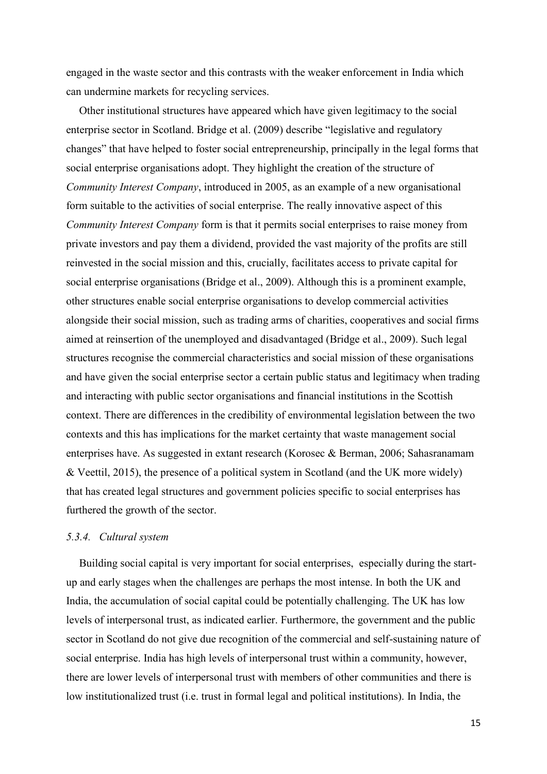engaged in the waste sector and this contrasts with the weaker enforcement in India which can undermine markets for recycling services.

Other institutional structures have appeared which have given legitimacy to the social enterprise sector in Scotland. Bridge et al. (2009) describe "legislative and regulatory changes" that have helped to foster social entrepreneurship, principally in the legal forms that social enterprise organisations adopt. They highlight the creation of the structure of *Community Interest Company*, introduced in 2005, as an example of a new organisational form suitable to the activities of social enterprise. The really innovative aspect of this *Community Interest Company* form is that it permits social enterprises to raise money from private investors and pay them a dividend, provided the vast majority of the profits are still reinvested in the social mission and this, crucially, facilitates access to private capital for social enterprise organisations (Bridge et al., 2009). Although this is a prominent example, other structures enable social enterprise organisations to develop commercial activities alongside their social mission, such as trading arms of charities, cooperatives and social firms aimed at reinsertion of the unemployed and disadvantaged (Bridge et al., 2009). Such legal structures recognise the commercial characteristics and social mission of these organisations and have given the social enterprise sector a certain public status and legitimacy when trading and interacting with public sector organisations and financial institutions in the Scottish context. There are differences in the credibility of environmental legislation between the two contexts and this has implications for the market certainty that waste management social enterprises have. As suggested in extant research (Korosec & Berman, 2006; Sahasranamam & Veettil, 2015), the presence of a political system in Scotland (and the UK more widely) that has created legal structures and government policies specific to social enterprises has furthered the growth of the sector.

#### *5.3.4. Cultural system*

Building social capital is very important for social enterprises, especially during the startup and early stages when the challenges are perhaps the most intense. In both the UK and India, the accumulation of social capital could be potentially challenging. The UK has low levels of interpersonal trust, as indicated earlier. Furthermore, the government and the public sector in Scotland do not give due recognition of the commercial and self-sustaining nature of social enterprise. India has high levels of interpersonal trust within a community, however, there are lower levels of interpersonal trust with members of other communities and there is low institutionalized trust (i.e. trust in formal legal and political institutions). In India, the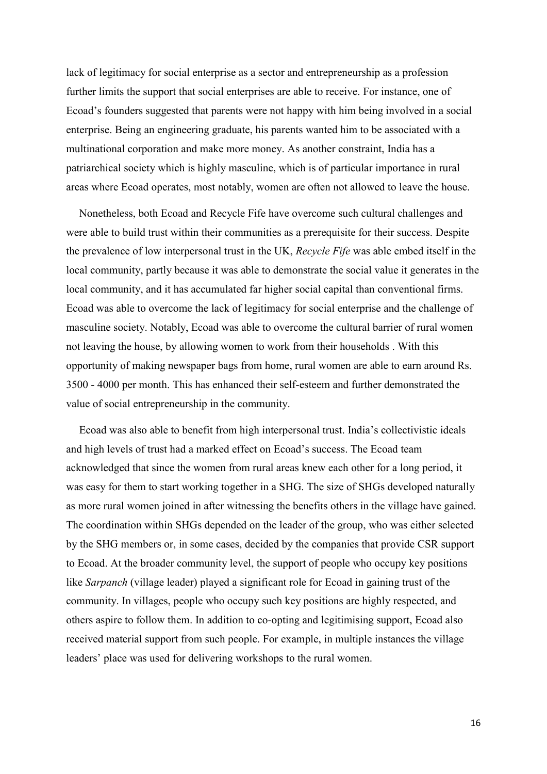lack of legitimacy for social enterprise as a sector and entrepreneurship as a profession further limits the support that social enterprises are able to receive. For instance, one of Ecoad's founders suggested that parents were not happy with him being involved in a social enterprise. Being an engineering graduate, his parents wanted him to be associated with a multinational corporation and make more money. As another constraint, India has a patriarchical society which is highly masculine, which is of particular importance in rural areas where Ecoad operates, most notably, women are often not allowed to leave the house.

Nonetheless, both Ecoad and Recycle Fife have overcome such cultural challenges and were able to build trust within their communities as a prerequisite for their success. Despite the prevalence of low interpersonal trust in the UK, *Recycle Fife* was able embed itself in the local community, partly because it was able to demonstrate the social value it generates in the local community, and it has accumulated far higher social capital than conventional firms. Ecoad was able to overcome the lack of legitimacy for social enterprise and the challenge of masculine society. Notably, Ecoad was able to overcome the cultural barrier of rural women not leaving the house, by allowing women to work from their households . With this opportunity of making newspaper bags from home, rural women are able to earn around Rs. 3500 - 4000 per month. This has enhanced their self-esteem and further demonstrated the value of social entrepreneurship in the community.

Ecoad was also able to benefit from high interpersonal trust. India's collectivistic ideals and high levels of trust had a marked effect on Ecoad's success. The Ecoad team acknowledged that since the women from rural areas knew each other for a long period, it was easy for them to start working together in a SHG. The size of SHGs developed naturally as more rural women joined in after witnessing the benefits others in the village have gained. The coordination within SHGs depended on the leader of the group, who was either selected by the SHG members or, in some cases, decided by the companies that provide CSR support to Ecoad. At the broader community level, the support of people who occupy key positions like *Sarpanch* (village leader) played a significant role for Ecoad in gaining trust of the community. In villages, people who occupy such key positions are highly respected, and others aspire to follow them. In addition to co-opting and legitimising support, Ecoad also received material support from such people. For example, in multiple instances the village leaders' place was used for delivering workshops to the rural women.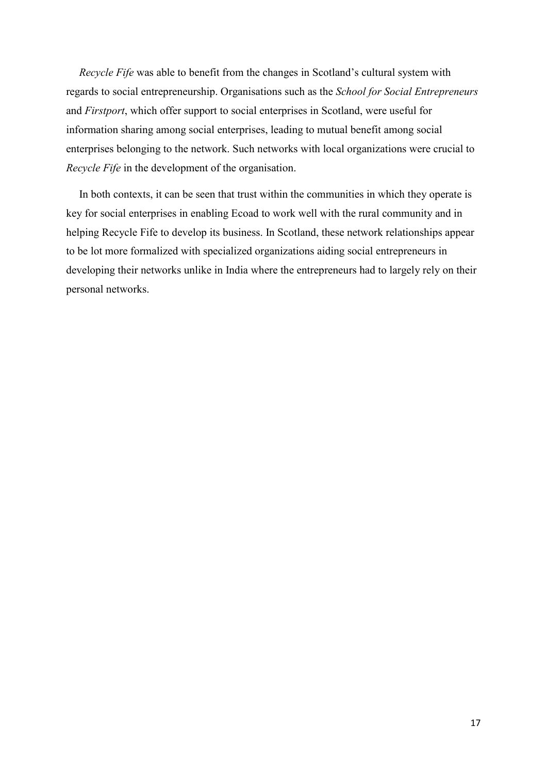*Recycle Fife* was able to benefit from the changes in Scotland's cultural system with regards to social entrepreneurship. Organisations such as the *School for Social Entrepreneurs*  and *Firstport*, which offer support to social enterprises in Scotland, were useful for information sharing among social enterprises, leading to mutual benefit among social enterprises belonging to the network. Such networks with local organizations were crucial to *Recycle Fife* in the development of the organisation.

In both contexts, it can be seen that trust within the communities in which they operate is key for social enterprises in enabling Ecoad to work well with the rural community and in helping Recycle Fife to develop its business. In Scotland, these network relationships appear to be lot more formalized with specialized organizations aiding social entrepreneurs in developing their networks unlike in India where the entrepreneurs had to largely rely on their personal networks.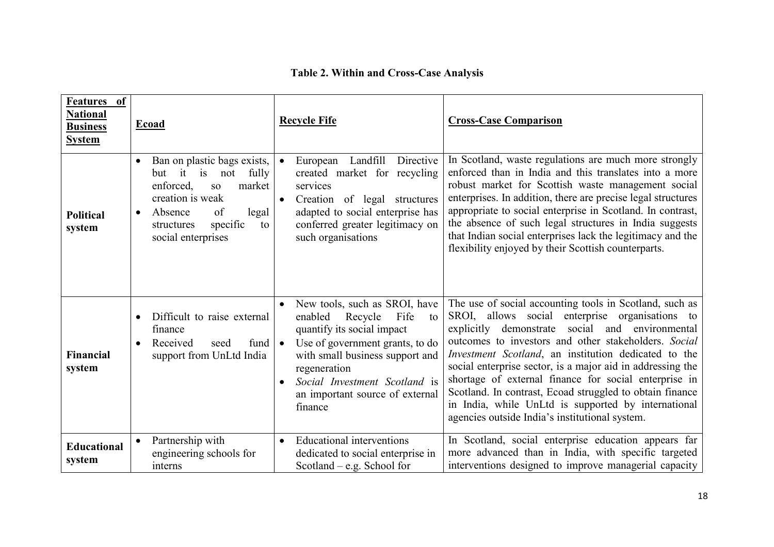# **Table 2. Within and Cross-Case Analysis**

| Features of<br><b>National</b><br><b>Business</b><br><b>System</b> | Ecoad                                                                                                                                                                                                  | <b>Recycle Fife</b>                                                                                                                                                                                                                                                               | <b>Cross-Case Comparison</b>                                                                                                                                                                                                                                                                                                                                                                                                                                                                                                                                                               |
|--------------------------------------------------------------------|--------------------------------------------------------------------------------------------------------------------------------------------------------------------------------------------------------|-----------------------------------------------------------------------------------------------------------------------------------------------------------------------------------------------------------------------------------------------------------------------------------|--------------------------------------------------------------------------------------------------------------------------------------------------------------------------------------------------------------------------------------------------------------------------------------------------------------------------------------------------------------------------------------------------------------------------------------------------------------------------------------------------------------------------------------------------------------------------------------------|
| <b>Political</b><br>system                                         | Ban on plastic bags exists,<br>but it is<br>fully<br>not<br>enforced,<br>market<br>SO <sub>1</sub><br>creation is weak<br>Absence<br>of<br>legal<br>specific<br>to<br>structures<br>social enterprises | European Landfill<br>Directive<br>$\bullet$<br>created market for recycling<br>services<br>Creation of legal structures<br>$\bullet$<br>adapted to social enterprise has<br>conferred greater legitimacy on<br>such organisations                                                 | In Scotland, waste regulations are much more strongly<br>enforced than in India and this translates into a more<br>robust market for Scottish waste management social<br>enterprises. In addition, there are precise legal structures<br>appropriate to social enterprise in Scotland. In contrast,<br>the absence of such legal structures in India suggests<br>that Indian social enterprises lack the legitimacy and the<br>flexibility enjoyed by their Scottish counterparts.                                                                                                         |
| <b>Financial</b><br>system                                         | Difficult to raise external<br>finance<br>fund<br>Received<br>seed<br>support from UnLtd India                                                                                                         | New tools, such as SROI, have<br>Recycle<br>enabled<br>Fife<br>to<br>quantify its social impact<br>Use of government grants, to do<br>$\bullet$<br>with small business support and<br>regeneration<br>Social Investment Scotland is<br>an important source of external<br>finance | The use of social accounting tools in Scotland, such as<br>SROI, allows social enterprise organisations to<br>social<br>and environmental<br>explicitly<br>demonstrate<br>outcomes to investors and other stakeholders. Social<br><i>Investment Scotland</i> , an institution dedicated to the<br>social enterprise sector, is a major aid in addressing the<br>shortage of external finance for social enterprise in<br>Scotland. In contrast, Ecoad struggled to obtain finance<br>in India, while UnLtd is supported by international<br>agencies outside India's institutional system. |
| <b>Educational</b><br>system                                       | Partnership with<br>engineering schools for<br>interns                                                                                                                                                 | <b>Educational interventions</b><br>$\bullet$<br>dedicated to social enterprise in<br>Scotland – e.g. School for                                                                                                                                                                  | In Scotland, social enterprise education appears far<br>more advanced than in India, with specific targeted<br>interventions designed to improve managerial capacity                                                                                                                                                                                                                                                                                                                                                                                                                       |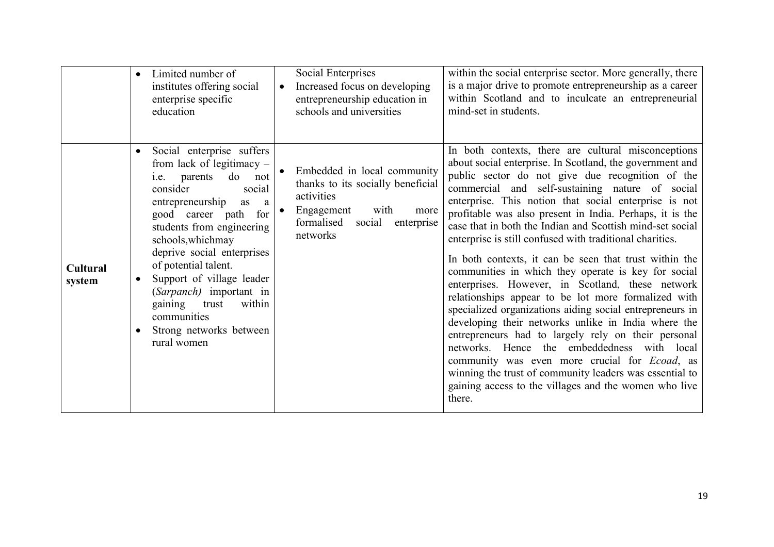|                           | Limited number of<br>institutes offering social<br>enterprise specific<br>education                                                                                                                                                                                                                                                                                                                                                                 | Social Enterprises<br>Increased focus on developing<br>$\bullet$<br>entrepreneurship education in<br>schools and universities                                  | within the social enterprise sector. More generally, there<br>is a major drive to promote entrepreneurship as a career<br>within Scotland and to inculcate an entrepreneurial<br>mind-set in students.                                                                                                                                                                                                                                                                                                                                                                                                                                                                                                                                                                                                                                                                                                                                                                                                                                                                                                           |
|---------------------------|-----------------------------------------------------------------------------------------------------------------------------------------------------------------------------------------------------------------------------------------------------------------------------------------------------------------------------------------------------------------------------------------------------------------------------------------------------|----------------------------------------------------------------------------------------------------------------------------------------------------------------|------------------------------------------------------------------------------------------------------------------------------------------------------------------------------------------------------------------------------------------------------------------------------------------------------------------------------------------------------------------------------------------------------------------------------------------------------------------------------------------------------------------------------------------------------------------------------------------------------------------------------------------------------------------------------------------------------------------------------------------------------------------------------------------------------------------------------------------------------------------------------------------------------------------------------------------------------------------------------------------------------------------------------------------------------------------------------------------------------------------|
| <b>Cultural</b><br>system | Social enterprise suffers<br>$\bullet$<br>from lack of legitimacy -<br>do<br>i.e. parents<br>not<br>consider<br>social<br>entrepreneurship<br>as<br><sub>a</sub><br>for<br>good career path<br>students from engineering<br>schools, which may<br>deprive social enterprises<br>of potential talent.<br>Support of village leader<br>(Sarpanch) important in<br>within<br>gaining<br>trust<br>communities<br>Strong networks between<br>rural women | Embedded in local community<br>thanks to its socially beneficial<br>activities<br>Engagement<br>with<br>more<br>formalised<br>social<br>enterprise<br>networks | In both contexts, there are cultural misconceptions<br>about social enterprise. In Scotland, the government and<br>public sector do not give due recognition of the<br>commercial and self-sustaining nature of social<br>enterprise. This notion that social enterprise is not<br>profitable was also present in India. Perhaps, it is the<br>case that in both the Indian and Scottish mind-set social<br>enterprise is still confused with traditional charities.<br>In both contexts, it can be seen that trust within the<br>communities in which they operate is key for social<br>enterprises. However, in Scotland, these network<br>relationships appear to be lot more formalized with<br>specialized organizations aiding social entrepreneurs in<br>developing their networks unlike in India where the<br>entrepreneurs had to largely rely on their personal<br>networks. Hence the embeddedness with local<br>community was even more crucial for <i>Ecoad</i> , as<br>winning the trust of community leaders was essential to<br>gaining access to the villages and the women who live<br>there. |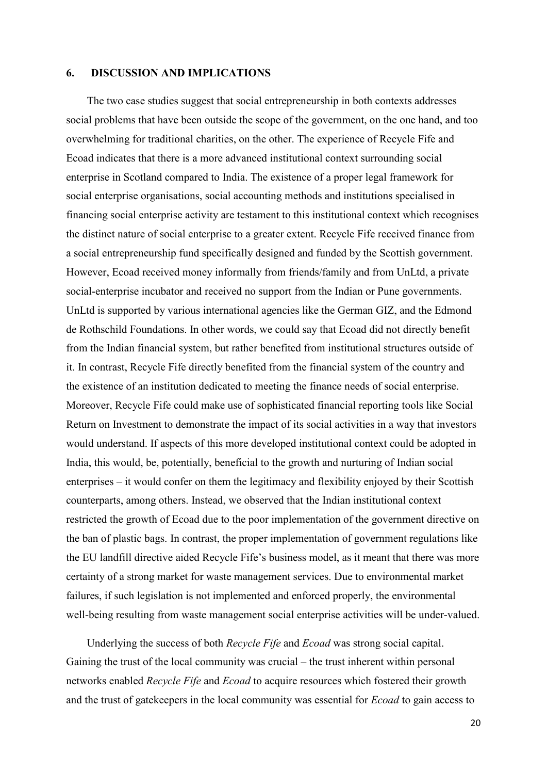#### **6. DISCUSSION AND IMPLICATIONS**

The two case studies suggest that social entrepreneurship in both contexts addresses social problems that have been outside the scope of the government, on the one hand, and too overwhelming for traditional charities, on the other. The experience of Recycle Fife and Ecoad indicates that there is a more advanced institutional context surrounding social enterprise in Scotland compared to India. The existence of a proper legal framework for social enterprise organisations, social accounting methods and institutions specialised in financing social enterprise activity are testament to this institutional context which recognises the distinct nature of social enterprise to a greater extent. Recycle Fife received finance from a social entrepreneurship fund specifically designed and funded by the Scottish government. However, Ecoad received money informally from friends/family and from UnLtd, a private social-enterprise incubator and received no support from the Indian or Pune governments. UnLtd is supported by various international agencies like the German GIZ, and the Edmond de Rothschild Foundations. In other words, we could say that Ecoad did not directly benefit from the Indian financial system, but rather benefited from institutional structures outside of it. In contrast, Recycle Fife directly benefited from the financial system of the country and the existence of an institution dedicated to meeting the finance needs of social enterprise. Moreover, Recycle Fife could make use of sophisticated financial reporting tools like Social Return on Investment to demonstrate the impact of its social activities in a way that investors would understand. If aspects of this more developed institutional context could be adopted in India, this would, be, potentially, beneficial to the growth and nurturing of Indian social enterprises – it would confer on them the legitimacy and flexibility enjoyed by their Scottish counterparts, among others. Instead, we observed that the Indian institutional context restricted the growth of Ecoad due to the poor implementation of the government directive on the ban of plastic bags. In contrast, the proper implementation of government regulations like the EU landfill directive aided Recycle Fife's business model, as it meant that there was more certainty of a strong market for waste management services. Due to environmental market failures, if such legislation is not implemented and enforced properly, the environmental well-being resulting from waste management social enterprise activities will be under-valued.

Underlying the success of both *Recycle Fife* and *Ecoad* was strong social capital. Gaining the trust of the local community was crucial – the trust inherent within personal networks enabled *Recycle Fife* and *Ecoad* to acquire resources which fostered their growth and the trust of gatekeepers in the local community was essential for *Ecoad* to gain access to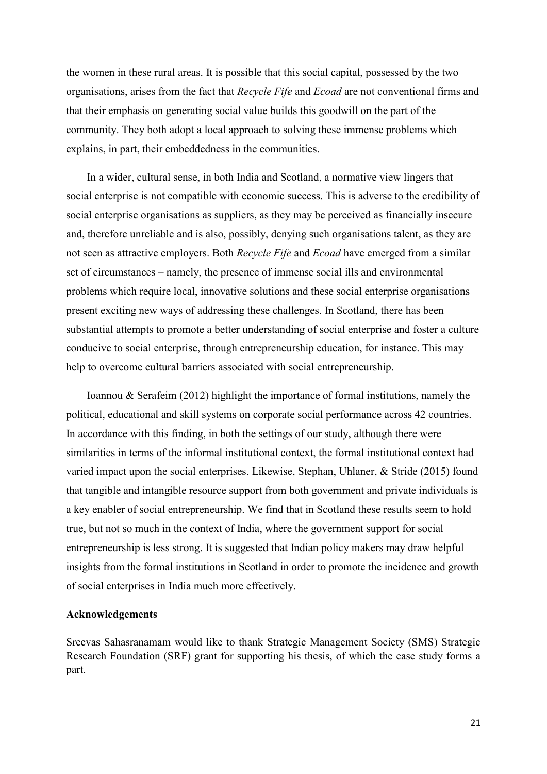the women in these rural areas. It is possible that this social capital, possessed by the two organisations, arises from the fact that *Recycle Fife* and *Ecoad* are not conventional firms and that their emphasis on generating social value builds this goodwill on the part of the community. They both adopt a local approach to solving these immense problems which explains, in part, their embeddedness in the communities.

In a wider, cultural sense, in both India and Scotland, a normative view lingers that social enterprise is not compatible with economic success. This is adverse to the credibility of social enterprise organisations as suppliers, as they may be perceived as financially insecure and, therefore unreliable and is also, possibly, denying such organisations talent, as they are not seen as attractive employers. Both *Recycle Fife* and *Ecoad* have emerged from a similar set of circumstances – namely, the presence of immense social ills and environmental problems which require local, innovative solutions and these social enterprise organisations present exciting new ways of addressing these challenges. In Scotland, there has been substantial attempts to promote a better understanding of social enterprise and foster a culture conducive to social enterprise, through entrepreneurship education, for instance. This may help to overcome cultural barriers associated with social entrepreneurship.

Ioannou & Serafeim (2012) highlight the importance of formal institutions, namely the political, educational and skill systems on corporate social performance across 42 countries. In accordance with this finding, in both the settings of our study, although there were similarities in terms of the informal institutional context, the formal institutional context had varied impact upon the social enterprises. Likewise, Stephan, Uhlaner, & Stride (2015) found that tangible and intangible resource support from both government and private individuals is a key enabler of social entrepreneurship. We find that in Scotland these results seem to hold true, but not so much in the context of India, where the government support for social entrepreneurship is less strong. It is suggested that Indian policy makers may draw helpful insights from the formal institutions in Scotland in order to promote the incidence and growth of social enterprises in India much more effectively.

#### **Acknowledgements**

Sreevas Sahasranamam would like to thank Strategic Management Society (SMS) Strategic Research Foundation (SRF) grant for supporting his thesis, of which the case study forms a part.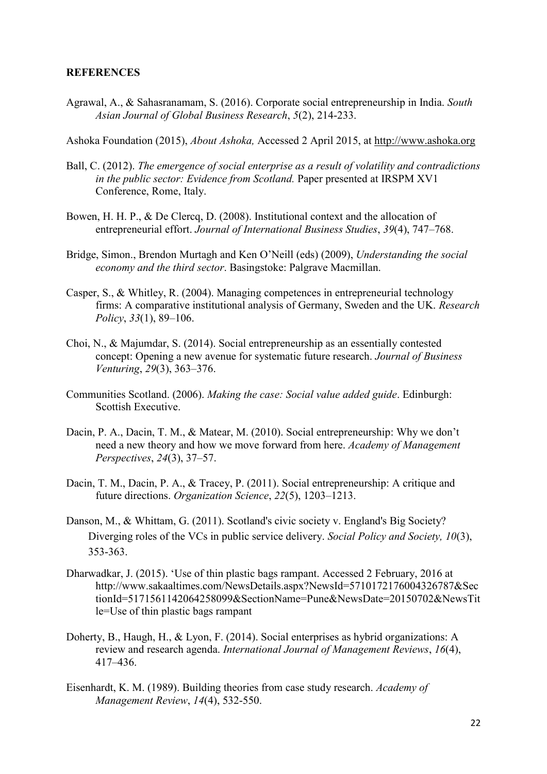#### **REFERENCES**

Agrawal, A., & Sahasranamam, S. (2016). Corporate social entrepreneurship in India. *South Asian Journal of Global Business Research*, *5*(2), 214-233.

Ashoka Foundation (2015), *About Ashoka,* Accessed 2 April 2015, at [http://www.ashoka.org](http://www.ashoka.org/)

- Ball, C. (2012). *The emergence of social enterprise as a result of volatility and contradictions in the public sector: Evidence from Scotland.* Paper presented at IRSPM XV1 Conference, Rome, Italy.
- Bowen, H. H. P., & De Clercq, D. (2008). Institutional context and the allocation of entrepreneurial effort. *Journal of International Business Studies*, *39*(4), 747–768.
- Bridge, Simon., Brendon Murtagh and Ken O'Neill (eds) (2009), *Understanding the social economy and the third sector*. Basingstoke: Palgrave Macmillan.
- Casper, S., & Whitley, R. (2004). Managing competences in entrepreneurial technology firms: A comparative institutional analysis of Germany, Sweden and the UK. *Research Policy*, *33*(1), 89–106.
- Choi, N., & Majumdar, S. (2014). Social entrepreneurship as an essentially contested concept: Opening a new avenue for systematic future research. *Journal of Business Venturing*, *29*(3), 363–376.
- Communities Scotland. (2006). *Making the case: Social value added guide*. Edinburgh: Scottish Executive.
- Dacin, P. A., Dacin, T. M., & Matear, M. (2010). Social entrepreneurship: Why we don't need a new theory and how we move forward from here. *Academy of Management Perspectives*, *24*(3), 37–57.
- Dacin, T. M., Dacin, P. A., & Tracey, P. (2011). Social entrepreneurship: A critique and future directions. *Organization Science*, *22*(5), 1203–1213.
- Danson, M., & Whittam, G. (2011). Scotland's civic society v. England's Big Society? Diverging roles of the VCs in public service delivery. *Social Policy and Society, 10*(3), 353-363.
- Dharwadkar, J. (2015). 'Use of thin plastic bags rampant. Accessed 2 February, 2016 at http://www.sakaaltimes.com/NewsDetails.aspx?NewsId=5710172176004326787&Sec tionId=5171561142064258099&SectionName=Pune&NewsDate=20150702&NewsTit le=Use of thin plastic bags rampant
- Doherty, B., Haugh, H., & Lyon, F. (2014). Social enterprises as hybrid organizations: A review and research agenda. *International Journal of Management Reviews*, *16*(4), 417–436.
- Eisenhardt, K. M. (1989). Building theories from case study research. *Academy of Management Review*, *14*(4), 532-550.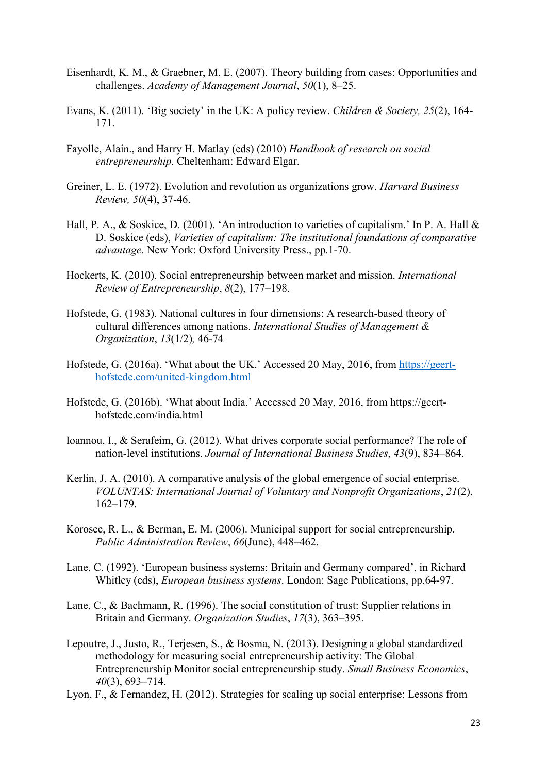- Eisenhardt, K. M., & Graebner, M. E. (2007). Theory building from cases: Opportunities and challenges. *Academy of Management Journal*, *50*(1), 8–25.
- Evans, K. (2011). 'Big society' in the UK: A policy review. *Children & Society, 25*(2), 164- 171.
- Fayolle, Alain., and Harry H. Matlay (eds) (2010) *Handbook of research on social entrepreneurship*. Cheltenham: Edward Elgar.
- Greiner, L. E. (1972). Evolution and revolution as organizations grow. *Harvard Business Review, 50*(4), 37-46.
- Hall, P. A., & Soskice, D. (2001). 'An introduction to varieties of capitalism.' In P. A. Hall & D. Soskice (eds), *Varieties of capitalism: The institutional foundations of comparative advantage*. New York: Oxford University Press., pp.1-70.
- Hockerts, K. (2010). Social entrepreneurship between market and mission. *International Review of Entrepreneurship*, *8*(2), 177–198.
- Hofstede, G. (1983). National cultures in four dimensions: A research-based theory of cultural differences among nations. *International Studies of Management & Organization*, *13*(1/2)*,* 46-74
- Hofstede, G. (2016a). 'What about the UK.' Accessed 20 May, 2016, from [https://geert](https://geert-hofstede.com/united-kingdom.html)[hofstede.com/united-kingdom.html](https://geert-hofstede.com/united-kingdom.html)
- Hofstede, G. (2016b). 'What about India.' Accessed 20 May, 2016, from https://geerthofstede.com/india.html
- Ioannou, I., & Serafeim, G. (2012). What drives corporate social performance? The role of nation-level institutions. *Journal of International Business Studies*, *43*(9), 834–864.
- Kerlin, J. A. (2010). A comparative analysis of the global emergence of social enterprise. *VOLUNTAS: International Journal of Voluntary and Nonprofit Organizations*, *21*(2), 162–179.
- Korosec, R. L., & Berman, E. M. (2006). Municipal support for social entrepreneurship. *Public Administration Review*, *66*(June), 448–462.
- Lane, C. (1992). 'European business systems: Britain and Germany compared', in Richard Whitley (eds), *European business systems*. London: Sage Publications, pp.64-97.
- Lane, C., & Bachmann, R. (1996). The social constitution of trust: Supplier relations in Britain and Germany. *Organization Studies*, *17*(3), 363–395.
- Lepoutre, J., Justo, R., Terjesen, S., & Bosma, N. (2013). Designing a global standardized methodology for measuring social entrepreneurship activity: The Global Entrepreneurship Monitor social entrepreneurship study. *Small Business Economics*, *40*(3), 693–714.
- Lyon, F., & Fernandez, H. (2012). Strategies for scaling up social enterprise: Lessons from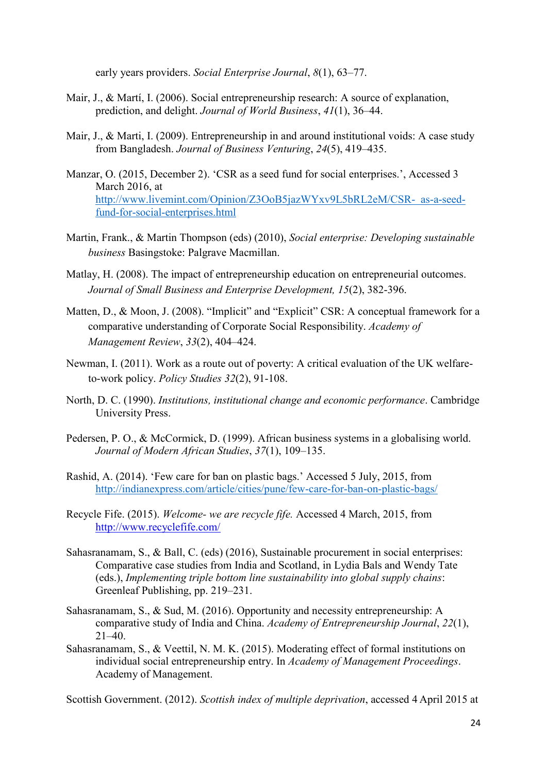early years providers. *Social Enterprise Journal*, *8*(1), 63–77.

- Mair, J., & Martí, I. (2006). Social entrepreneurship research: A source of explanation, prediction, and delight. *Journal of World Business*, *41*(1), 36–44.
- Mair, J., & Marti, I. (2009). Entrepreneurship in and around institutional voids: A case study from Bangladesh. *Journal of Business Venturing*, *24*(5), 419–435.
- Manzar, O. (2015, December 2). 'CSR as a seed fund for social enterprises.', Accessed 3 March 2016, at [http://www.livemint.com/Opinion/Z3OoB5jazWYxv9L5bRL2eM/CSR- as-a-seed](http://www.livemint.com/Opinion/Z3OoB5jazWYxv9L5bRL2eM/CSR-%20%20as-a-seed-fund-for-social-enterprises.html)[fund-for-social-enterprises.html](http://www.livemint.com/Opinion/Z3OoB5jazWYxv9L5bRL2eM/CSR-%20%20as-a-seed-fund-for-social-enterprises.html)
- Martin, Frank., & Martin Thompson (eds) (2010), *Social enterprise: Developing sustainable business* Basingstoke: Palgrave Macmillan.
- Matlay, H. (2008). The impact of entrepreneurship education on entrepreneurial outcomes. *Journal of Small Business and Enterprise Development, 15*(2), 382-396.
- Matten, D., & Moon, J. (2008). "Implicit" and "Explicit" CSR: A conceptual framework for a comparative understanding of Corporate Social Responsibility. *Academy of Management Review*, *33*(2), 404–424.
- Newman, I. (2011). Work as a route out of poverty: A critical evaluation of the UK welfareto-work policy. *Policy Studies 32*(2), 91-108.
- North, D. C. (1990). *Institutions, institutional change and economic performance*. Cambridge University Press.
- Pedersen, P. O., & McCormick, D. (1999). African business systems in a globalising world. *Journal of Modern African Studies*, *37*(1), 109–135.
- Rashid, A. (2014). 'Few care for ban on plastic bags.' Accessed 5 July, 2015, from <http://indianexpress.com/article/cities/pune/few-care-for-ban-on-plastic-bags/>
- Recycle Fife. (2015). *Welcome- we are recycle fife.* Accessed 4 March, 2015, from <http://www.recyclefife.com/>
- Sahasranamam, S., & Ball, C. (eds) (2016), Sustainable procurement in social enterprises: Comparative case studies from India and Scotland, in Lydia Bals and Wendy Tate (eds.), *Implementing triple bottom line sustainability into global supply chains*: Greenleaf Publishing, pp. 219–231.
- Sahasranamam, S., & Sud, M. (2016). Opportunity and necessity entrepreneurship: A comparative study of India and China. *Academy of Entrepreneurship Journal*, *22*(1),  $21 - 40$
- Sahasranamam, S., & Veettil, N. M. K. (2015). Moderating effect of formal institutions on individual social entrepreneurship entry. In *Academy of Management Proceedings*. Academy of Management.

Scottish Government. (2012). *Scottish index of multiple deprivation*, accessed 4 April 2015 at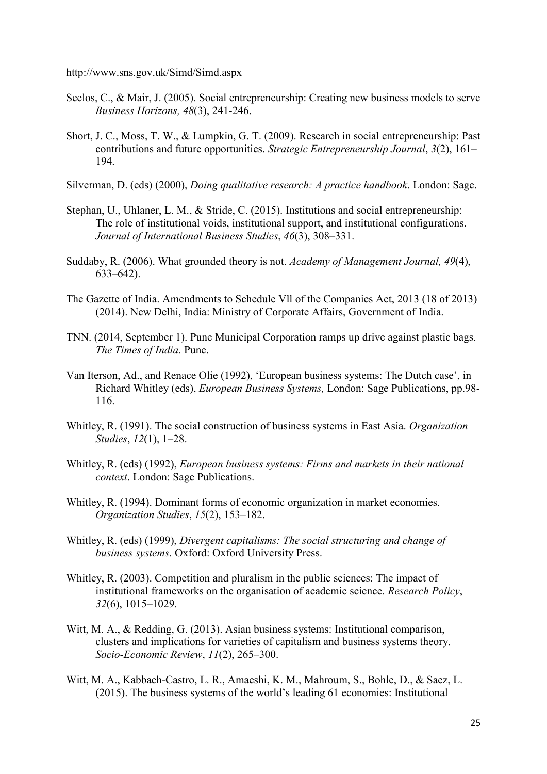http://www.sns.gov.uk/Simd/Simd.aspx

- Seelos, C., & Mair, J. (2005). Social entrepreneurship: Creating new business models to serve *Business Horizons, 48*(3), 241-246.
- Short, J. C., Moss, T. W., & Lumpkin, G. T. (2009). Research in social entrepreneurship: Past contributions and future opportunities. *Strategic Entrepreneurship Journal*, *3*(2), 161– 194.
- Silverman, D. (eds) (2000), *Doing qualitative research: A practice handbook*. London: Sage.
- Stephan, U., Uhlaner, L. M., & Stride, C. (2015). Institutions and social entrepreneurship: The role of institutional voids, institutional support, and institutional configurations. *Journal of International Business Studies*, *46*(3), 308–331.
- Suddaby, R. (2006). What grounded theory is not. *Academy of Management Journal, 49*(4), 633–642).
- The Gazette of India. Amendments to Schedule Vll of the Companies Act, 2013 (18 of 2013) (2014). New Delhi, India: Ministry of Corporate Affairs, Government of India.
- TNN. (2014, September 1). Pune Municipal Corporation ramps up drive against plastic bags. *The Times of India*. Pune.
- Van Iterson, Ad., and Renace Olie (1992), 'European business systems: The Dutch case', in Richard Whitley (eds), *European Business Systems,* London: Sage Publications, pp.98- 116.
- Whitley, R. (1991). The social construction of business systems in East Asia. *Organization Studies*, *12*(1), 1–28.
- Whitley, R. (eds) (1992), *European business systems: Firms and markets in their national context*. London: Sage Publications.
- Whitley, R. (1994). Dominant forms of economic organization in market economies. *Organization Studies*, *15*(2), 153–182.
- Whitley, R. (eds) (1999), *Divergent capitalisms: The social structuring and change of business systems*. Oxford: Oxford University Press.
- Whitley, R. (2003). Competition and pluralism in the public sciences: The impact of institutional frameworks on the organisation of academic science. *Research Policy*, *32*(6), 1015–1029.
- Witt, M. A., & Redding, G. (2013). Asian business systems: Institutional comparison, clusters and implications for varieties of capitalism and business systems theory. *Socio-Economic Review*, *11*(2), 265–300.
- Witt, M. A., Kabbach-Castro, L. R., Amaeshi, K. M., Mahroum, S., Bohle, D., & Saez, L. (2015). The business systems of the world's leading 61 economies: Institutional